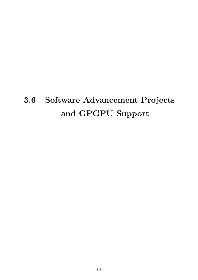# **3.6 Software Advancement Projects and GPGPU Support**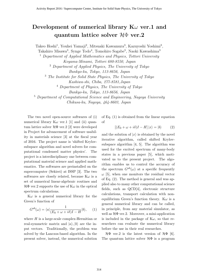## **Development of numerical library K***ω* **ver.1 and quantum lattice solver** *H*Φ **ver.2**

Takeo Hoshi<sup>1</sup>, Youhei Yamaji<sup>2</sup>, Mitsuaki Kawamura<sup>3</sup>, Kazuyoshi Yoshimi<sup>3</sup>,

Takahiro Misawa<sup>3</sup>, Synge Todo<sup>4</sup>, Tomohiro Sogabe<sup>5</sup>, Naoki Kawashima<sup>3</sup>

<sup>1</sup> *Department of Applied Mathematics and Physics, Tottori University*

*Koyama-Minami, Tottori 680-8550, Japan*

<sup>2</sup> *Department of Applied Physics, The University of Tokyo*

*Bunkyo-ku, Tokyo, 113-8656, Japan*

<sup>3</sup> *The Institute for Solid State Physics, The University of Tokyo*

*Kashiwa-shi, Chiba, 277-8581,Japan*

<sup>4</sup> *Department of Physics, The University of Tokyo*

*Bunkyo-ku, Tokyo, 113-8656, Japan*

<sup>5</sup> *Department of Computational Science and Engineering, Nagoya University*

*Chikusa-ku, Nagoya, 464-8603, Japan*

The two novel open-source softwares of (i) numerical library  $K\omega$  ver.1 [1] and (ii) quantum lattice solver *H*Φ ver.2 [2] were developed in Project for advancement of software usability in materials science [3] at the fiscal year of 2016. The project name is 'shifted Krylovsubspace algorithm and novel solvers for computational condensed matter physics'. The project is a interdisciplinary one between computational material science and applied mathematics. The softwares are preinstalled on the supercomputer (Sekirei) at ISSP [3]. The two softwares are closely related, because  $K\omega$  is a set of numerical linear-algebraic routines and  $H\Phi$  ver.2 supports the use of  $K\omega$  in the optical spectrum calculations.

 $\kappa\omega$  is a general numerical library for the Green's function of

$$
G^{ab}(\omega) = \langle a | \frac{1}{(E_0 + \omega + i\delta)I - H} | b \rangle, \quad (1)
$$

where *H* is a large-scale complex-Hermitian or real-symmetric matrix and  $|a\rangle$ ,  $|b\rangle$  are the input vectors. Traditionally, the problem was solved by the Lanczos-based algorithm. In the present solver, instead, the numerical solution of Eq. (1) is obtained from the linear equation of

$$
[(E_0 + \omega + i\delta)I - H] |x\rangle = |b\rangle \tag{2}
$$

and the solution of  $|x\rangle$  is obtained by the novel iterative algorithm, called shifted Krylovsubspace algorithm [4, 5]. The algorithm was used for the excited spectrum of many-body states in a previous paper [5], which motivated us to the present project. The algorithm enables us to control the accuracy of the spectrum  $G^{ab}(\omega)$  at a specific frequently  $\omega$  [5], when one monitors the residual vector of Eq. (2). The method is general and was applied also to many other computational science fields, such as QCD[4], electronic structure calculations, transport calculation with nonequilibrium Green's function theory. K $\omega$  is a general numerical library and can be called, in principle, from any material simulator, as well as  $H\Phi$  ver.2. Moreover, a mini-application is included in the package of  $K\omega$ , so that researchers can evaluate the numerical library before the use in their real researches.

*H*Φ ver.2 is the latest version of *H*Φ [6]. The quantum lattice solver *H*Φ is a program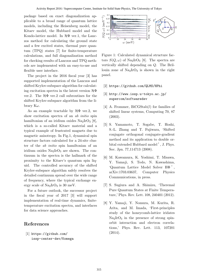package based on exact diagonalization applicable to a broad range of quantum lattice models, including the Heisenberg model, the Kitaev model, the Hubbard model and the Kondo-lattice model. In *H*Φ ver.1, the Lanczos method for calculating the ground state and a few excited states, thermal pure quantum (TPQ) states [7] for finite-temperature calculations, and full diagonalization method for checking results of Lanczos and TPQ methods are implemented with an easy-to-use and flexible user interface.

The project in the 2016 fiscal year [3] has supported implementation of the Lanczos and shifted Krylov-subspace algorithm for calculating excitation spectra in the latest version *H*Φ ver.2. The  $H\Phi$  ver.2 call subroutines for the shifted Krylov-subspace algorithm from the library K*ω*.

As an example tractable by *H*Φ ver.2, we show excitation spectra of an *ab initio* spin hamiltonian of an iridium oxides  $\text{Na}_2\text{IrO}_3$  [8], which is a so-called Kitaev material and a typical example of frustrated magnets due to magnetic anisotropy. In Fig.1, dynamical spin structure factors calculated for a 24-site cluster of the *ab initio* spin hamiltonian of an iridium oxides  $\text{Na}_2\text{IrO}_3$  are shown. The continuum in the spectra is the hallmark of the proximity to the Kitaev's quantum spin liquid. The controlled accuracy of the shifted Krylov-subspace algorithm safely resolves the detailed continuum spread over the wide range of frequency, where the typical exchange energy scale of  $Na<sub>2</sub>IrO<sub>3</sub>$  is 30 meV.

For a future outlook, the successor project in the fiscal year of 2017 [3] will support implementation of real-time dynamics, finitetemperature excitation spectra, and interfaces for data science approaches.

#### **References**

[1] https://github.com/ issp-center-dev/Komega



Figure 1: Calculated dynamical structure factors  $S(Q,\omega)$  of Na<sub>2</sub>IrO<sub>3</sub> [8]. The spectra are vertically shifted depending on *Q*. The Brillouin zone of  $\text{Na}_2\text{IrO}_3$  is shown in the right panel.

- [2] https://github.com/QLMS/HPhi
- [3] http://www.issp.u-tokyo.ac.jp/ supercom/softwaredev
- [4] A. Frommer, BiCGStab(*l*) for families of shifted linear systems, Computing 70, 87 (2003).
- [5] S. Yamamoto, T. Sogabe, T. Hoshi, S.-L. Zhang and T. Fujiwara, 'Shifted conjugate orthogonal conjugate-gradient method and its application to double orbital extended Hubbard model ', J. Phys. Soc. Jpn. 77,114713 (2008).
- [6] M. Kawamura, K. Yoshimi, T. Misawa, Y. Yamaji, S. Todo, N. Kawashima, 'Quantum Lattice Model Solver HΦ ', arXiv:1703.03637, Computer Physics Communications, in press.
- [7] S. Sugiura and A. Shimizu, 'Theremal Pure Quantum States at Finite Temperature,' Phys. Rev. Lett. 108, 240401 (2012).
- [8] Y. Yamaji, Y. Nomura, M. Kurita, R. Arita, and M. Imada, 'First-principles study of the honeycomb-lattice iridates  $Na<sub>2</sub>IrO<sub>3</sub>$  in the presence of strong spinorbit interaction and electron correlations,' Phys. Rev. Lett. 113, 107201 (2014).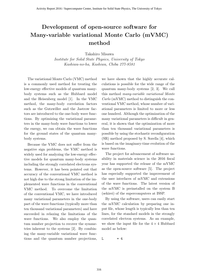## **Development of open-source software for Many-variable variational Monte Carlo (mVMC) method**

Takahiro Misawa

*Institute for Solid State Physics, University of Tokyo Kashiwa-no-ha, Kashiwa, Chiba 277-8581*

The variational Monte Carlo (VMC) method is a commonly used method for treating the low-energy effective models of quantum manybody systems such as the Hubbard model and the Heisenberg model [1]. In the VMC method, the many-body correlation factors such as the Gutzwiller and the Jastrow factors are introduced to the one-body wave functions. By optimizing the variational parameters in the many-body wave functions to lower the energy, we can obtain the wave functions for the ground states of the quantum manybody systems.

Because the VMC does not suffer from the negative sign problems, the VMC method is widely used for analyzing the low-energy effective models for quantum many-body systems including the strongly correlated electrons systems. However, it has been pointed out that accuracy of the conventional VMC method is not high due to the strong limitation of the implemented wave functions in the conventional VMC method. To overcome the limitation of the conventional VMC, we have introduced many variational parameters in the one-body part of the wave functions (typically more than ten thousand variational parameters) and have succeeded in relaxing the limitations of the wave functions. We also employ the quantum number projection to recover the symmetries inherent to the systems [2]. By combining the many-variable variational wave functions and the quantum number projections, we have shown that the highly accurate calculations is possible for the wide range of the quantum many-body systems [2, 3]. We call this method *many-variable variational Monte Carlo* (mVMC) method to distinguish the conventional VMC method, whose number of variational parameters is limited to more or less one hundred. Although the optimization of the many variational parameters is difficult in general, it is shown that the optimization of more than ten thousand variational parameters is possible by using the stochastic reconfiguration (SR) method proposed by S. Sorella [4], which is based on the imaginary-time evolution of the wave functions.

The project for advancement of software usability in materials science in the 2016 fiscal year has supported the release of the mVMC as the open-source software [5]. The project has especially supported the improvement of the user interfaces of mVMC and extensions of the wave functions. The latest version of the mVMC is preinstalled on the system B (sekirei) of the supercomputers at ISSP.

By using the software, users can easily start the mVMC calculation by preparing one input file, whose length is typically less than ten lines, for the standard models in the strongly correlated electron systems. As an example, we show the input file for the  $4 \times 4$  Hubbard model as below:

 $L = 4$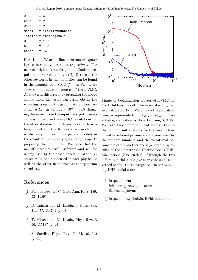| W     | $= 4$ |                        |
|-------|-------|------------------------|
| Lsub  | $= 2$ |                        |
| Wsub  | $= 2$ |                        |
| model |       | $=$ "FermionHubbard"   |
|       |       | lattice = "tetragonal" |
| U     |       | $= 4.0$                |
| t     |       | $= 1.0$                |
| nelec |       | $= 16$                 |
|       |       |                        |

Here L and W are a linear extents of square lattice, in x and y directions, respectively. The nearest neighbor transfer (on-site Coulomb repulsion) is represented by t (U). Details of the other keywords in the input files can be found in the manuals of mVMC [5]. In Fig. 1, we show the optimization process of the mVMC. As shown in this figure, by preparing the above simple input file, users can easily obtain the wave functions for the ground state whose accuracy is  $E_{\text{mVMC}} - E_{\text{exact}} \sim 10^{-3} \times t$ . By changing the keywords in the input file slightly, users can easily perform the mVMC calculations for the other standard models such as the Heisenberg model and the Kondo-lattice model. It is also easy to treat more general models in the quantum many-body systems by properly preparing the input files. We hope that the mVMC becomes useful software and will be widely used by the broad spectrum of the researchers in the condensed matter physics as well as the other fields such as the quantum chemistry. ice = "tetragonal"<br>
= 4.0<br>  $c = 1.0$ <br>  $c = 16$ <br>
L and W are a linear extents of square<br>  $\frac{1}{2}$ <br>  $\frac{1}{2}$ <br>  $\frac{1}{2}$  and W are a linear extents of square<br>  $\frac{1}{2}$ ,  $\frac{1}{2}$ <br>  $\frac{1}{2}$  and W are a linear extents of squ

#### **References**

- [1] For a review, see C. Gros, Ann. Phys. 189, 53 (1989).
- [2] D. Tahara and M. Imada, J. Phys. Soc. Jpn. 77, 114701 (2008).
- [3] T. Misawa and M. Imada, Phys. Rev. B 90, 115137 (2014).
- [4] S. Sorella, Phys. Rev. B 64, 024512



Figure 1: Optimization process of mVMC for 4*×*4 Hubbard model. The internal energy per site calculated by mVMC (exact diagonalization) is represented by  $E_{\text{mMVC}}$  ( $E_{\text{exact}}$ ). Exact diagonalization is done by using *H*Φ [6]. We take two different initial states: One is the random initial states (red crosses) whose initial variational parameters are generated by the random numbers and the variational parameters of the another one is generated by results of the unrestricted Hartree-Fock (UHF) calculations (blue circles). Although the two different initial states give nearly the same converged results, the convergence is faster by taking UHF initial states.

- [5] http://ma.cmsinitiative.jp/en/applicationlist/mvmc/mvmc
- [6] http://qlms.github.io/HPhi/index.html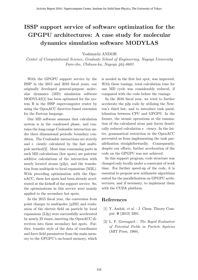# **ISSP support service of software optimization for the GPGPU architectures: A case study for molecular dynamics simulation software MODYLAS**

Yoshimichi ANDOH

*Center of Computational Science, Graduate School of Engineering, Nagoya University Furo-cho, Chikusa-ku, Nagoya 464-8603*

With the GPGPU support service by the ISSP in the 2015 and 2016 fiscal years, our originally developed general-purpose molecular dynamics (MD) simulation software MODYLAS[1] has been optimized for the system B in the ISSP supercomputer center by using the OpenACC directive-based extension for the Fortran language.

Our MD software assumes that calculation system is in the condensed phase, and contains the long-range Coulombic interaction under three dimensional periodic boundary condition. The Coulombic interactions are strictly and e ciently calculated by the fast multipole method[2]. Most time consuming parts in such MD calculations (hot spots) are pairwise additive calculations of the interaction with nearly located atoms (p2p), and the translation from multipole to local expansions (M2L). With preceding optimization with the OpenACC, these hot spots had been already accelerated at the kickoff of the support service. So, the optimizations in this service were mainly applied to the secondary hot spots.

In the 2015 fiscal year, the conversion from point charges to multipoles (p2M) and evaluation of the electric field on particle by local expansions (L2p) were successfully accelerated by nearly 25 times, inserting the OpenACC directives into these secondary hot spots. Further, transfer style of the data of coordinates and force field parameters from the main memory to the GPGPU's on-board memory, which is needed in the first hot spot, was improved. With these tunings, total calculation time for one MD cycle was considerably reduced, if compared with the code before the tunings.

In the 2016 fiscal year, we tried to further accelerate the p2p code by utilizing the Newton's third law, and to introduce task parallelization between CPU and GPGPU. In the former, the atomic operations at the summation of the calculated atom pair forces drastically reduced calculation e ciency. In the latter, grammatical restriction in the OpenACC prevented us from implementing the task parallelization straightforwardly. Consequently, despite our efforts, further acceleration of the code on the GPGPU was not achieved.

In this support program, code structure was changed only locally under a constraint of work time. For further speed-up of the code, it is essential to propose new arithmetic algorithms suited for the parallelization on GPGPU architectures, and if necessary, to implement them with the CUDA platform.

#### **References**

- [1] Y. Andoh, *et al.* : J. Chem. Theory Comput. **9** (2013) 3201.
- [2] L. F. Greengard : *The Rapid Evaluation of Potential Fields in Particle Systems* (MIT Press, 1988).